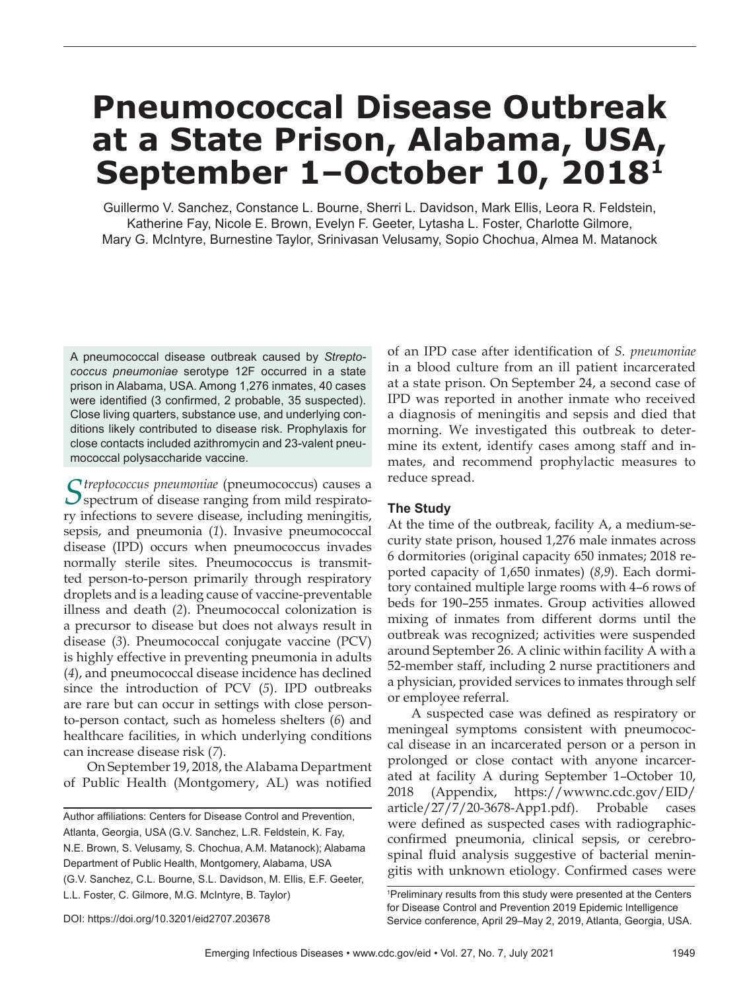# **Pneumococcal Disease Outbreak at a State Prison, Alabama, USA, September 1–October 10, 20181**

 Guillermo V. Sanchez, Constance L. Bourne, Sherri L. Davidson, Mark Ellis, Leora R. Feldstein, Katherine Fay, Nicole E. Brown, Evelyn F. Geeter, Lytasha L. Foster, Charlotte Gilmore, Mary G. McIntyre, Burnestine Taylor, Srinivasan Velusamy, Sopio Chochua, Almea M. Matanock

A pneumococcal disease outbreak caused by *Streptococcus pneumoniae* serotype 12F occurred in a state prison in Alabama, USA. Among 1,276 inmates, 40 cases were identified (3 confirmed, 2 probable, 35 suspected). Close living quarters, substance use, and underlying conditions likely contributed to disease risk. Prophylaxis for close contacts included azithromycin and 23-valent pneumococcal polysaccharide vaccine.

*Streptococcus pneumoniae* (pneumococcus) causes a  $\mathcal{S}$  spectrum of disease ranging from mild respiratory infections to severe disease, including meningitis, sepsis, and pneumonia (*1*). Invasive pneumococcal disease (IPD) occurs when pneumococcus invades normally sterile sites. Pneumococcus is transmitted person-to-person primarily through respiratory droplets and is a leading cause of vaccine-preventable illness and death (*2*). Pneumococcal colonization is a precursor to disease but does not always result in disease (*3*). Pneumococcal conjugate vaccine (PCV) is highly effective in preventing pneumonia in adults (*4*), and pneumococcal disease incidence has declined since the introduction of PCV (*5*). IPD outbreaks are rare but can occur in settings with close personto-person contact, such as homeless shelters (*6*) and healthcare facilities, in which underlying conditions can increase disease risk (*7*).

 On September 19, 2018, the Alabama Department of Public Health (Montgomery, AL) was notified

of an IPD case after identification of *S. pneumoniae* in a blood culture from an ill patient incarcerated at a state prison. On September 24, a second case of IPD was reported in another inmate who received a diagnosis of meningitis and sepsis and died that morning. We investigated this outbreak to determine its extent, identify cases among staff and inmates, and recommend prophylactic measures to reduce spread.

## **The Study**

At the time of the outbreak, facility A, a medium-security state prison, housed 1,276 male inmates across 6 dormitories (original capacity 650 inmates; 2018 reported capacity of 1,650 inmates) (*8*,*9*). Each dormitory contained multiple large rooms with 4–6 rows of beds for 190–255 inmates. Group activities allowed mixing of inmates from different dorms until the outbreak was recognized; activities were suspended around September 26. A clinic within facility A with a 52-member staff, including 2 nurse practitioners and a physician, provided services to inmates through self or employee referral.

A suspected case was defined as respiratory or meningeal symptoms consistent with pneumococcal disease in an incarcerated person or a person in prolonged or close contact with anyone incarcerated at facility A during September 1–October 10, 2018 (Appendix, https://wwwnc.cdc.gov/EID/ article/27/7/20-3678-App1.pdf). Probable cases were defined as suspected cases with radiographicconfirmed pneumonia, clinical sepsis, or cerebrospinal fluid analysis suggestive of bacterial meningitis with unknown etiology. Confirmed cases were

Author affiliations: Centers for Disease Control and Prevention. Atlanta, Georgia, USA (G.V. Sanchez, L.R. Feldstein, K. Fay, N.E. Brown, S. Velusamy, S. Chochua, A.M. Matanock); Alabama Department of Public Health, Montgomery, Alabama, USA (G.V. Sanchez, C.L. Bourne, S.L. Davidson, M. Ellis, E.F. Geeter, L.L. Foster, C. Gilmore, M.G. McIntyre, B. Taylor)

<sup>1</sup> Preliminary results from this study were presented at the Centers for Disease Control and Prevention 2019 Epidemic Intelligence Service conference, April 29–May 2, 2019, Atlanta, Georgia, USA.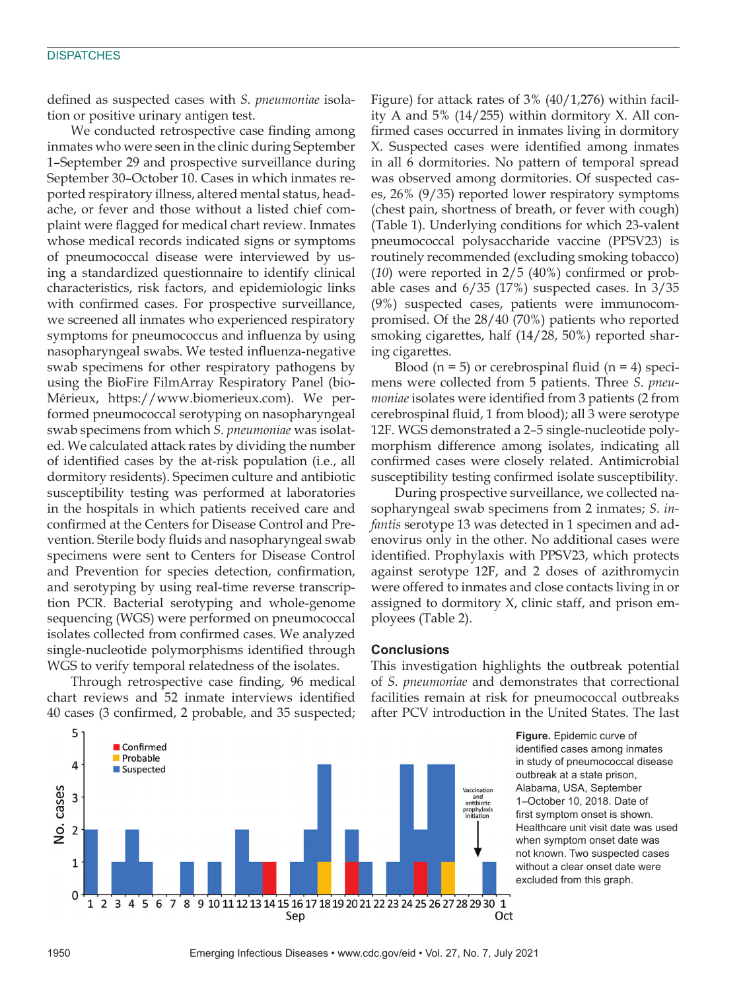#### **DISPATCHES**

defined as suspected cases with *S. pneumoniae* isolation or positive urinary antigen test.

We conducted retrospective case finding among inmates who were seen in the clinic during September 1–September 29 and prospective surveillance during September 30–October 10. Cases in which inmates reported respiratory illness, altered mental status, headache, or fever and those without a listed chief complaint were flagged for medical chart review. Inmates whose medical records indicated signs or symptoms of pneumococcal disease were interviewed by using a standardized questionnaire to identify clinical characteristics, risk factors, and epidemiologic links with confirmed cases. For prospective surveillance, we screened all inmates who experienced respiratory symptoms for pneumococcus and influenza by using nasopharyngeal swabs. We tested influenza-negative swab specimens for other respiratory pathogens by using the BioFire FilmArray Respiratory Panel (bio-Mérieux, https://www.biomerieux.com). We performed pneumococcal serotyping on nasopharyngeal swab specimens from which *S. pneumoniae* was isolated. We calculated attack rates by dividing the number of identified cases by the at-risk population (i.e., all dormitory residents). Specimen culture and antibiotic susceptibility testing was performed at laboratories in the hospitals in which patients received care and confirmed at the Centers for Disease Control and Prevention. Sterile body fluids and nasopharyngeal swab specimens were sent to Centers for Disease Control and Prevention for species detection, confirmation, and serotyping by using real-time reverse transcription PCR. Bacterial serotyping and whole-genome sequencing (WGS) were performed on pneumococcal isolates collected from confirmed cases. We analyzed single-nucleotide polymorphisms identified through WGS to verify temporal relatedness of the isolates.

Through retrospective case finding, 96 medical chart reviews and 52 inmate interviews identified 40 cases (3 confirmed, 2 probable, and 35 suspected;

Figure) for attack rates of 3% (40/1,276) within facility A and 5% (14/255) within dormitory X. All confirmed cases occurred in inmates living in dormitory X. Suspected cases were identified among inmates in all 6 dormitories. No pattern of temporal spread was observed among dormitories. Of suspected cases, 26% (9/35) reported lower respiratory symptoms (chest pain, shortness of breath, or fever with cough) (Table 1). Underlying conditions for which 23-valent pneumococcal polysaccharide vaccine (PPSV23) is routinely recommended (excluding smoking tobacco) (*10*) were reported in 2/5 (40%) confirmed or probable cases and 6/35 (17%) suspected cases. In 3/35 (9%) suspected cases, patients were immunocompromised. Of the 28/40 (70%) patients who reported smoking cigarettes, half (14/28, 50%) reported sharing cigarettes.

Blood  $(n = 5)$  or cerebrospinal fluid  $(n = 4)$  specimens were collected from 5 patients. Three *S. pneumoniae* isolates were identified from 3 patients (2 from cerebrospinal fluid, 1 from blood); all 3 were serotype 12F. WGS demonstrated a 2–5 single-nucleotide polymorphism difference among isolates, indicating all confirmed cases were closely related. Antimicrobial susceptibility testing confirmed isolate susceptibility.

During prospective surveillance, we collected nasopharyngeal swab specimens from 2 inmates; *S. infantis* serotype 13 was detected in 1 specimen and adenovirus only in the other. No additional cases were identified. Prophylaxis with PPSV23, which protects against serotype 12F, and 2 doses of azithromycin were offered to inmates and close contacts living in or assigned to dormitory X, clinic staff, and prison employees (Table 2).

#### **Conclusions**

This investigation highlights the outbreak potential of *S. pneumoniae* and demonstrates that correctional facilities remain at risk for pneumococcal outbreaks after PCV introduction in the United States. The last





1950 Emerging Infectious Diseases • www.cdc.gov/eid • Vol. 27, No. 7, July 2021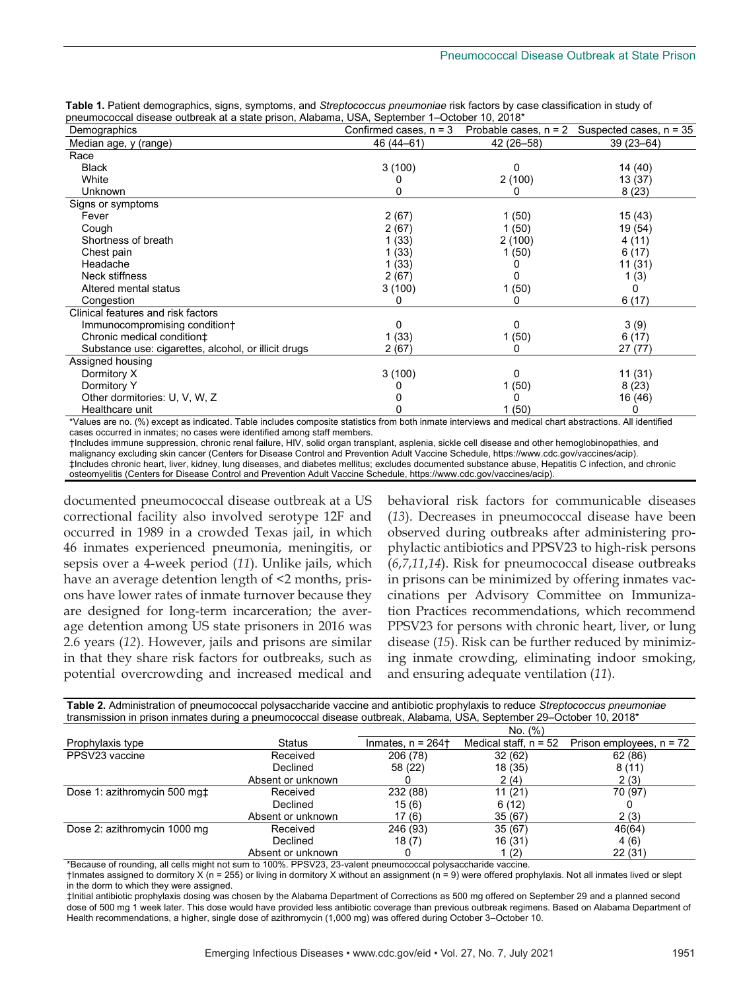|                                                                                              | Table 1. Patient demographics, signs, symptoms, and Streptococcus pneumoniae risk factors by case classification in study of |
|----------------------------------------------------------------------------------------------|------------------------------------------------------------------------------------------------------------------------------|
| pneumococcal disease outbreak at a state prison. Alabama. USA. September 1–October 10. 2018* |                                                                                                                              |

| Demographics                                         | Confirmed cases, $n = 3$ | Probable cases, $n = 2$ | Suspected cases, $n = 35$ |
|------------------------------------------------------|--------------------------|-------------------------|---------------------------|
| Median age, y (range)                                | 46 (44 - 61)             | 42 (26-58)              | $39(23 - 64)$             |
| Race                                                 |                          |                         |                           |
| <b>Black</b>                                         | 3(100)                   | 0                       | 14 (40)                   |
| White                                                |                          | 2(100)                  | 13 (37)                   |
| Unknown                                              |                          | 0                       | 8(23)                     |
| Signs or symptoms                                    |                          |                         |                           |
| Fever                                                | 2(67)                    | 1(50)                   | 15 (43)                   |
| Cough                                                | 2(67)                    | 1(50)                   | 19 (54)                   |
| Shortness of breath                                  | 1(33)                    | 2(100)                  | 4 (11)                    |
| Chest pain                                           | 1(33)                    | 1(50)                   | 6(17)                     |
| Headache                                             | 1(33)                    |                         | 11 (31)                   |
| Neck stiffness                                       | 2(67)                    |                         | 1(3)                      |
| Altered mental status                                | 3(100)                   | 1(50)                   | 0                         |
| Congestion                                           |                          | 0                       | 6(17)                     |
| Clinical features and risk factors                   |                          |                         |                           |
| Immunocompromising condition+                        | 0                        | 0                       | 3(9)                      |
| Chronic medical condition <sup>+</sup>               | 1(33)                    | 1(50)                   | 6(17)                     |
| Substance use: cigarettes, alcohol, or illicit drugs | 2(67)                    | 0                       | 27(77)                    |
| Assigned housing                                     |                          |                         |                           |
| Dormitory X                                          | 3(100)                   | 0                       | 11(31)                    |
| Dormitory Y                                          |                          | 1(50)                   | 8(23)                     |
| Other dormitories: U, V, W, Z                        |                          |                         | 16 (46)                   |
| Healthcare unit                                      |                          | 1(50)                   | 0                         |

\*Values are no. (%) except as indicated. Table includes composite statistics from both inmate interviews and medical chart abstractions. All identified cases occurred in inmates; no cases were identified among staff members.

†Includes immune suppression, chronic renal failure, HIV, solid organ transplant, asplenia, sickle cell disease and other hemoglobinopathies, and malignancy excluding skin cancer (Centers for Disease Control and Prevention Adult Vaccine Schedule, https://www.cdc.gov/vaccines/acip). ‡Includes chronic heart, liver, kidney, lung diseases, and diabetes mellitus; excludes documented substance abuse, Hepatitis C infection, and chronic osteomyelitis (Centers for Disease Control and Prevention Adult Vaccine Schedule, https://www.cdc.gov/vaccines/acip).

documented pneumococcal disease outbreak at a US correctional facility also involved serotype 12F and occurred in 1989 in a crowded Texas jail, in which 46 inmates experienced pneumonia, meningitis, or sepsis over a 4-week period (*11*). Unlike jails, which have an average detention length of <2 months, prisons have lower rates of inmate turnover because they are designed for long-term incarceration; the average detention among US state prisoners in 2016 was 2.6 years (*12*). However, jails and prisons are similar in that they share risk factors for outbreaks, such as potential overcrowding and increased medical and

behavioral risk factors for communicable diseases (*13*). Decreases in pneumococcal disease have been observed during outbreaks after administering prophylactic antibiotics and PPSV23 to high-risk persons (*6*,*7*,*11*,*14*). Risk for pneumococcal disease outbreaks in prisons can be minimized by offering inmates vaccinations per Advisory Committee on Immunization Practices recommendations, which recommend PPSV23 for persons with chronic heart, liver, or lung disease (*15*). Risk can be further reduced by minimizing inmate crowding, eliminating indoor smoking, and ensuring adequate ventilation (*11*).

| Table 2. Administration of pneumococcal polysaccharide vaccine and antibiotic prophylaxis to reduce Streptococcus pneumoniae |                   |                                 |                         |                            |  |  |  |
|------------------------------------------------------------------------------------------------------------------------------|-------------------|---------------------------------|-------------------------|----------------------------|--|--|--|
| transmission in prison inmates during a pneumococcal disease outbreak, Alabama, USA, September 29-October 10, 2018*          |                   |                                 |                         |                            |  |  |  |
|                                                                                                                              |                   | No. (%)                         |                         |                            |  |  |  |
| Prophylaxis type                                                                                                             | <b>Status</b>     | Inmates, $n = 264$ <sup>+</sup> | Medical staff, $n = 52$ | Prison employees, $n = 72$ |  |  |  |
| PPSV23 vaccine                                                                                                               | Received          | 206 (78)                        | 32(62)                  | 62(86)                     |  |  |  |
|                                                                                                                              | Declined          | 58 (22)                         | 18 (35)                 | 8(11)                      |  |  |  |
|                                                                                                                              | Absent or unknown |                                 | 2(4)                    | 2(3)                       |  |  |  |
| Dose 1: azithromycin 500 mgt                                                                                                 | Received          | 232 (88)                        | 11(21)                  | 70 (97)                    |  |  |  |
|                                                                                                                              | Declined          | 15(6)                           | 6(12)                   |                            |  |  |  |
|                                                                                                                              | Absent or unknown | 17 (6)                          | 35(67)                  | 2(3)                       |  |  |  |
| Dose 2: azithromycin 1000 mg                                                                                                 | Received          | 246 (93)                        | 35(67)                  | 46(64)                     |  |  |  |
|                                                                                                                              | Declined          | 18(7)                           | 16 (31)                 | 4(6)                       |  |  |  |
|                                                                                                                              | Absent or unknown |                                 | 1 (2)                   | 22(31)                     |  |  |  |

\*Because of rounding, all cells might not sum to 100%. PPSV23, 23-valent pneumococcal polysaccharide vaccine.

†Inmates assigned to dormitory X (n = 255) or living in dormitory X without an assignment (n = 9) were offered prophylaxis. Not all inmates lived or slept in the dorm to which they were assigned.

‡Initial antibiotic prophylaxis dosing was chosen by the Alabama Department of Corrections as 500 mg offered on September 29 and a planned second dose of 500 mg 1 week later. This dose would have provided less antibiotic coverage than previous outbreak regimens. Based on Alabama Department of Health recommendations, a higher, single dose of azithromycin (1,000 mg) was offered during October 3–October 10.